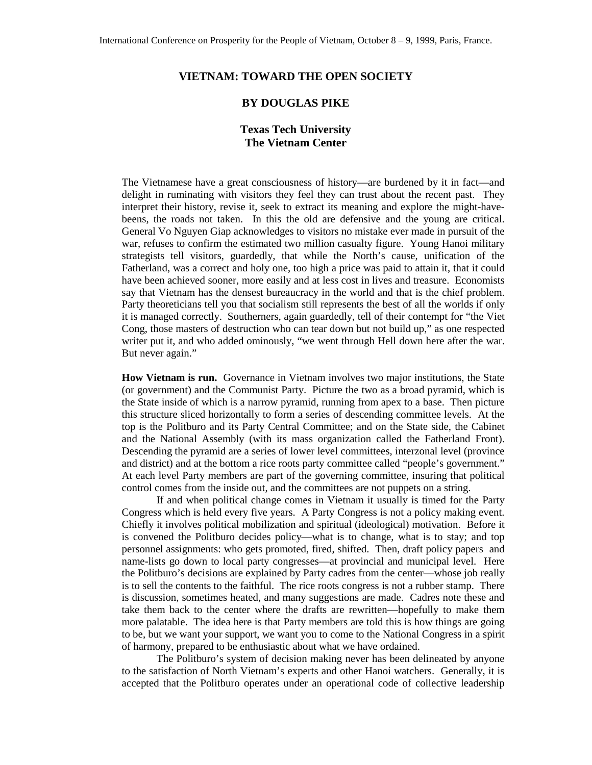## **VIETNAM: TOWARD THE OPEN SOCIETY**

## **BY DOUGLAS PIKE**

## **Texas Tech University The Vietnam Center**

The Vietnamese have a great consciousness of history—are burdened by it in fact—and delight in ruminating with visitors they feel they can trust about the recent past. They interpret their history, revise it, seek to extract its meaning and explore the might-havebeens, the roads not taken. In this the old are defensive and the young are critical. General Vo Nguyen Giap acknowledges to visitors no mistake ever made in pursuit of the war, refuses to confirm the estimated two million casualty figure. Young Hanoi military strategists tell visitors, guardedly, that while the North's cause, unification of the Fatherland, was a correct and holy one, too high a price was paid to attain it, that it could have been achieved sooner, more easily and at less cost in lives and treasure. Economists say that Vietnam has the densest bureaucracy in the world and that is the chief problem. Party theoreticians tell you that socialism still represents the best of all the worlds if only it is managed correctly. Southerners, again guardedly, tell of their contempt for "the Viet Cong, those masters of destruction who can tear down but not build up," as one respected writer put it, and who added ominously, "we went through Hell down here after the war. But never again."

**How Vietnam is run.** Governance in Vietnam involves two major institutions, the State (or government) and the Communist Party. Picture the two as a broad pyramid, which is the State inside of which is a narrow pyramid, running from apex to a base. Then picture this structure sliced horizontally to form a series of descending committee levels. At the top is the Politburo and its Party Central Committee; and on the State side, the Cabinet and the National Assembly (with its mass organization called the Fatherland Front). Descending the pyramid are a series of lower level committees, interzonal level (province and district) and at the bottom a rice roots party committee called "people's government." At each level Party members are part of the governing committee, insuring that political control comes from the inside out, and the committees are not puppets on a string.

If and when political change comes in Vietnam it usually is timed for the Party Congress which is held every five years. A Party Congress is not a policy making event. Chiefly it involves political mobilization and spiritual (ideological) motivation. Before it is convened the Politburo decides policy—what is to change, what is to stay; and top personnel assignments: who gets promoted, fired, shifted. Then, draft policy papers and name-lists go down to local party congresses—at provincial and municipal level. Here the Politburo's decisions are explained by Party cadres from the center—whose job really is to sell the contents to the faithful. The rice roots congress is not a rubber stamp. There is discussion, sometimes heated, and many suggestions are made. Cadres note these and take them back to the center where the drafts are rewritten—hopefully to make them more palatable. The idea here is that Party members are told this is how things are going to be, but we want your support, we want you to come to the National Congress in a spirit of harmony, prepared to be enthusiastic about what we have ordained.

The Politburo's system of decision making never has been delineated by anyone to the satisfaction of North Vietnam's experts and other Hanoi watchers. Generally, it is accepted that the Politburo operates under an operational code of collective leadership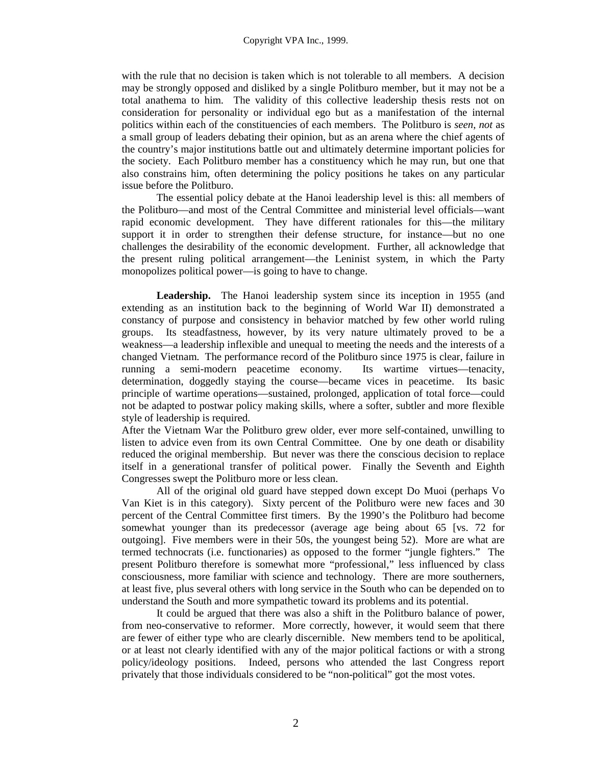with the rule that no decision is taken which is not tolerable to all members. A decision may be strongly opposed and disliked by a single Politburo member, but it may not be a total anathema to him. The validity of this collective leadership thesis rests not on consideration for personality or individual ego but as a manifestation of the internal politics within each of the constituencies of each members. The Politburo is *seen, not* as a small group of leaders debating their opinion, but as an arena where the chief agents of the country's major institutions battle out and ultimately determine important policies for the society. Each Politburo member has a constituency which he may run, but one that also constrains him, often determining the policy positions he takes on any particular issue before the Politburo.

The essential policy debate at the Hanoi leadership level is this: all members of the Politburo—and most of the Central Committee and ministerial level officials—want rapid economic development. They have different rationales for this—the military support it in order to strengthen their defense structure, for instance—but no one challenges the desirability of the economic development. Further, all acknowledge that the present ruling political arrangement—the Leninist system, in which the Party monopolizes political power—is going to have to change.

Leadership. The Hanoi leadership system since its inception in 1955 (and extending as an institution back to the beginning of World War II) demonstrated a constancy of purpose and consistency in behavior matched by few other world ruling groups. Its steadfastness, however, by its very nature ultimately proved to be a weakness—a leadership inflexible and unequal to meeting the needs and the interests of a changed Vietnam. The performance record of the Politburo since 1975 is clear, failure in running a semi-modern peacetime economy. Its wartime virtues—tenacity, determination, doggedly staying the course—became vices in peacetime. Its basic principle of wartime operations—sustained, prolonged, application of total force—could not be adapted to postwar policy making skills, where a softer, subtler and more flexible style of leadership is required.

After the Vietnam War the Politburo grew older, ever more self-contained, unwilling to listen to advice even from its own Central Committee. One by one death or disability reduced the original membership. But never was there the conscious decision to replace itself in a generational transfer of political power. Finally the Seventh and Eighth Congresses swept the Politburo more or less clean.

All of the original old guard have stepped down except Do Muoi (perhaps Vo Van Kiet is in this category). Sixty percent of the Politburo were new faces and 30 percent of the Central Committee first timers. By the 1990's the Politburo had become somewhat younger than its predecessor (average age being about 65 [vs. 72 for outgoing]. Five members were in their 50s, the youngest being 52). More are what are termed technocrats (i.e. functionaries) as opposed to the former "jungle fighters." The present Politburo therefore is somewhat more "professional," less influenced by class consciousness, more familiar with science and technology. There are more southerners, at least five, plus several others with long service in the South who can be depended on to understand the South and more sympathetic toward its problems and its potential.

It could be argued that there was also a shift in the Politburo balance of power, from neo-conservative to reformer. More correctly, however, it would seem that there are fewer of either type who are clearly discernible. New members tend to be apolitical, or at least not clearly identified with any of the major political factions or with a strong policy/ideology positions. Indeed, persons who attended the last Congress report privately that those individuals considered to be "non-political" got the most votes.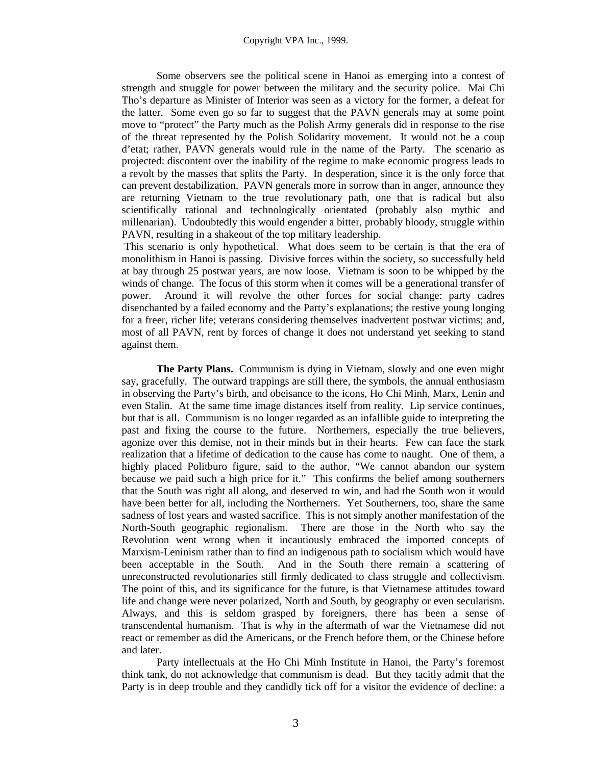Some observers see the political scene in Hanoi as emerging into a contest of strength and struggle for power between the military and the security police. Mai Chi Tho's departure as Minister of Interior was seen as a victory for the former, a defeat for the latter. Some even go so far to suggest that the PAVN generals may at some point move to "protect" the Party much as the Polish Army generals did in response to the rise of the threat represented by the Polish Solidarity movement. It would not be a coup d'etat; rather, PAVN generals would rule in the name of the Party. The scenario as projected: discontent over the inability of the regime to make economic progress leads to a revolt by the masses that splits the Party. In desperation, since it is the only force that can prevent destabilization, PAVN generals more in sorrow than in anger, announce they are returning Vietnam to the true revolutionary path, one that is radical but also scientifically rational and technologically orientated (probably also mythic and millenarian). Undoubtedly this would engender a bitter, probably bloody, struggle within PAVN, resulting in a shakeout of the top military leadership.

 This scenario is only hypothetical. What does seem to be certain is that the era of monolithism in Hanoi is passing. Divisive forces within the society, so successfully held at bay through 25 postwar years, are now loose. Vietnam is soon to be whipped by the winds of change. The focus of this storm when it comes will be a generational transfer of power. Around it will revolve the other forces for social change: party cadres disenchanted by a failed economy and the Party's explanations; the restive young longing for a freer, richer life; veterans considering themselves inadvertent postwar victims; and, most of all PAVN, rent by forces of change it does not understand yet seeking to stand against them.

**The Party Plans.** Communism is dying in Vietnam, slowly and one even might say, gracefully. The outward trappings are still there, the symbols, the annual enthusiasm in observing the Party's birth, and obeisance to the icons, Ho Chi Minh, Marx, Lenin and even Stalin. At the same time image distances itself from reality. Lip service continues, but that is all. Communism is no longer regarded as an infallible guide to interpreting the past and fixing the course to the future. Northerners, especially the true believers, agonize over this demise, not in their minds but in their hearts. Few can face the stark realization that a lifetime of dedication to the cause has come to naught. One of them, a highly placed Politburo figure, said to the author, "We cannot abandon our system because we paid such a high price for it." This confirms the belief among southerners that the South was right all along, and deserved to win, and had the South won it would have been better for all, including the Northerners. Yet Southerners, too, share the same sadness of lost years and wasted sacrifice. This is not simply another manifestation of the North-South geographic regionalism. There are those in the North who say the Revolution went wrong when it incautiously embraced the imported concepts of Marxism-Leninism rather than to find an indigenous path to socialism which would have been acceptable in the South. And in the South there remain a scattering of unreconstructed revolutionaries still firmly dedicated to class struggle and collectivism. The point of this, and its significance for the future, is that Vietnamese attitudes toward life and change were never polarized, North and South, by geography or even secularism. Always, and this is seldom grasped by foreigners, there has been a sense of transcendental humanism. That is why in the aftermath of war the Vietnamese did not react or remember as did the Americans, or the French before them, or the Chinese before and later.

Party intellectuals at the Ho Chi Minh Institute in Hanoi, the Party's foremost think tank, do not acknowledge that communism is dead. But they tacitly admit that the Party is in deep trouble and they candidly tick off for a visitor the evidence of decline: a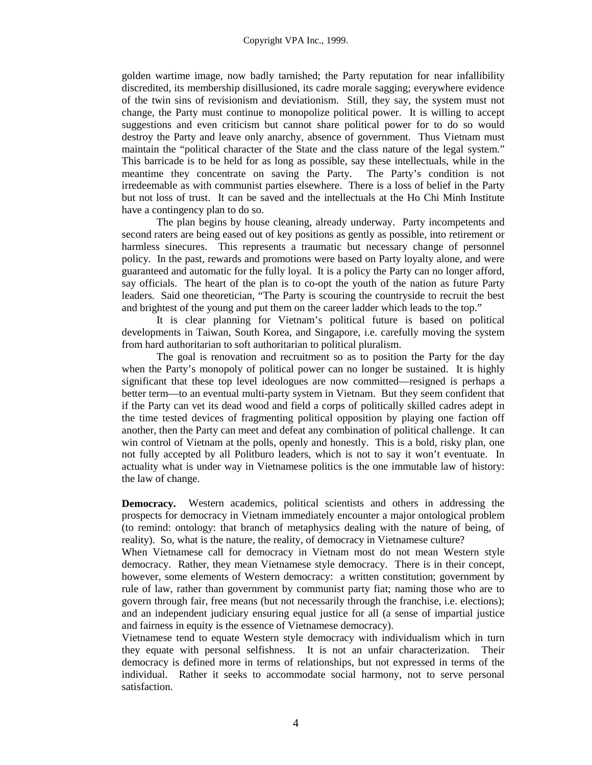golden wartime image, now badly tarnished; the Party reputation for near infallibility discredited, its membership disillusioned, its cadre morale sagging; everywhere evidence of the twin sins of revisionism and deviationism. Still, they say, the system must not change, the Party must continue to monopolize political power. It is willing to accept suggestions and even criticism but cannot share political power for to do so would destroy the Party and leave only anarchy, absence of government. Thus Vietnam must maintain the "political character of the State and the class nature of the legal system." This barricade is to be held for as long as possible, say these intellectuals, while in the meantime they concentrate on saving the Party. The Party's condition is not irredeemable as with communist parties elsewhere. There is a loss of belief in the Party but not loss of trust. It can be saved and the intellectuals at the Ho Chi Minh Institute have a contingency plan to do so.

The plan begins by house cleaning, already underway. Party incompetents and second raters are being eased out of key positions as gently as possible, into retirement or harmless sinecures. This represents a traumatic but necessary change of personnel policy. In the past, rewards and promotions were based on Party loyalty alone, and were guaranteed and automatic for the fully loyal. It is a policy the Party can no longer afford, say officials. The heart of the plan is to co-opt the youth of the nation as future Party leaders. Said one theoretician, "The Party is scouring the countryside to recruit the best and brightest of the young and put them on the career ladder which leads to the top."

It is clear planning for Vietnam's political future is based on political developments in Taiwan, South Korea, and Singapore, i.e. carefully moving the system from hard authoritarian to soft authoritarian to political pluralism.

The goal is renovation and recruitment so as to position the Party for the day when the Party's monopoly of political power can no longer be sustained. It is highly significant that these top level ideologues are now committed—resigned is perhaps a better term—to an eventual multi-party system in Vietnam. But they seem confident that if the Party can vet its dead wood and field a corps of politically skilled cadres adept in the time tested devices of fragmenting political opposition by playing one faction off another, then the Party can meet and defeat any combination of political challenge. It can win control of Vietnam at the polls, openly and honestly. This is a bold, risky plan, one not fully accepted by all Politburo leaders, which is not to say it won't eventuate. In actuality what is under way in Vietnamese politics is the one immutable law of history: the law of change.

**Democracy.** Western academics, political scientists and others in addressing the prospects for democracy in Vietnam immediately encounter a major ontological problem (to remind: ontology: that branch of metaphysics dealing with the nature of being, of reality). So, what is the nature, the reality, of democracy in Vietnamese culture?

When Vietnamese call for democracy in Vietnam most do not mean Western style democracy. Rather, they mean Vietnamese style democracy. There is in their concept, however, some elements of Western democracy: a written constitution; government by rule of law, rather than government by communist party fiat; naming those who are to govern through fair, free means (but not necessarily through the franchise, i.e. elections); and an independent judiciary ensuring equal justice for all (a sense of impartial justice and fairness in equity is the essence of Vietnamese democracy).

Vietnamese tend to equate Western style democracy with individualism which in turn they equate with personal selfishness. It is not an unfair characterization. Their democracy is defined more in terms of relationships, but not expressed in terms of the individual. Rather it seeks to accommodate social harmony, not to serve personal satisfaction.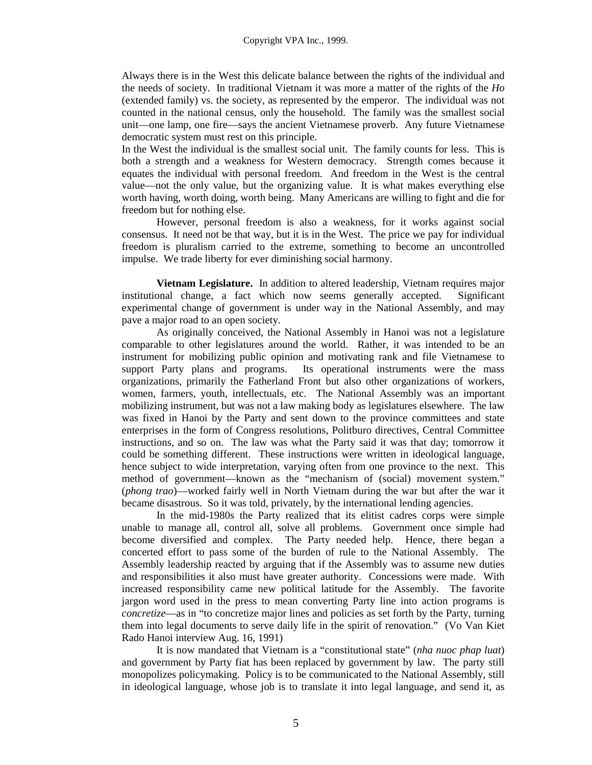Always there is in the West this delicate balance between the rights of the individual and the needs of society. In traditional Vietnam it was more a matter of the rights of the *Ho* (extended family) vs. the society, as represented by the emperor. The individual was not counted in the national census, only the household. The family was the smallest social unit—one lamp, one fire—says the ancient Vietnamese proverb. Any future Vietnamese democratic system must rest on this principle.

In the West the individual is the smallest social unit. The family counts for less. This is both a strength and a weakness for Western democracy. Strength comes because it equates the individual with personal freedom. And freedom in the West is the central value—not the only value, but the organizing value. It is what makes everything else worth having, worth doing, worth being. Many Americans are willing to fight and die for freedom but for nothing else.

However, personal freedom is also a weakness, for it works against social consensus. It need not be that way, but it is in the West. The price we pay for individual freedom is pluralism carried to the extreme, something to become an uncontrolled impulse. We trade liberty for ever diminishing social harmony.

**Vietnam Legislature.** In addition to altered leadership, Vietnam requires major institutional change, a fact which now seems generally accepted. Significant experimental change of government is under way in the National Assembly, and may pave a major road to an open society.

As originally conceived, the National Assembly in Hanoi was not a legislature comparable to other legislatures around the world. Rather, it was intended to be an instrument for mobilizing public opinion and motivating rank and file Vietnamese to support Party plans and programs. Its operational instruments were the mass organizations, primarily the Fatherland Front but also other organizations of workers, women, farmers, youth, intellectuals, etc. The National Assembly was an important mobilizing instrument, but was not a law making body as legislatures elsewhere. The law was fixed in Hanoi by the Party and sent down to the province committees and state enterprises in the form of Congress resolutions, Politburo directives, Central Committee instructions, and so on. The law was what the Party said it was that day; tomorrow it could be something different. These instructions were written in ideological language, hence subject to wide interpretation, varying often from one province to the next. This method of government—known as the "mechanism of (social) movement system." (*phong trao*)—worked fairly well in North Vietnam during the war but after the war it became disastrous. So it was told, privately, by the international lending agencies.

In the mid-1980s the Party realized that its elitist cadres corps were simple unable to manage all, control all, solve all problems. Government once simple had become diversified and complex. The Party needed help. Hence, there began a concerted effort to pass some of the burden of rule to the National Assembly. The Assembly leadership reacted by arguing that if the Assembly was to assume new duties and responsibilities it also must have greater authority. Concessions were made. With increased responsibility came new political latitude for the Assembly. The favorite jargon word used in the press to mean converting Party line into action programs is *concretize*—as in "to concretize major lines and policies as set forth by the Party, turning them into legal documents to serve daily life in the spirit of renovation." (Vo Van Kiet Rado Hanoi interview Aug. 16, 1991)

It is now mandated that Vietnam is a "constitutional state" (*nha nuoc phap luat*) and government by Party fiat has been replaced by government by law. The party still monopolizes policymaking. Policy is to be communicated to the National Assembly, still in ideological language, whose job is to translate it into legal language, and send it, as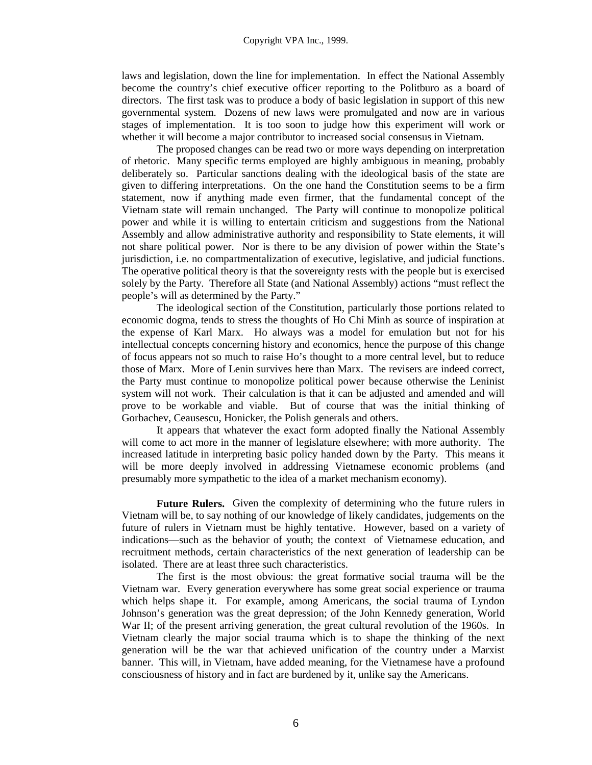laws and legislation, down the line for implementation. In effect the National Assembly become the country's chief executive officer reporting to the Politburo as a board of directors. The first task was to produce a body of basic legislation in support of this new governmental system. Dozens of new laws were promulgated and now are in various stages of implementation. It is too soon to judge how this experiment will work or whether it will become a major contributor to increased social consensus in Vietnam.

The proposed changes can be read two or more ways depending on interpretation of rhetoric. Many specific terms employed are highly ambiguous in meaning, probably deliberately so. Particular sanctions dealing with the ideological basis of the state are given to differing interpretations. On the one hand the Constitution seems to be a firm statement, now if anything made even firmer, that the fundamental concept of the Vietnam state will remain unchanged. The Party will continue to monopolize political power and while it is willing to entertain criticism and suggestions from the National Assembly and allow administrative authority and responsibility to State elements, it will not share political power. Nor is there to be any division of power within the State's jurisdiction, i.e. no compartmentalization of executive, legislative, and judicial functions. The operative political theory is that the sovereignty rests with the people but is exercised solely by the Party. Therefore all State (and National Assembly) actions "must reflect the people's will as determined by the Party."

The ideological section of the Constitution, particularly those portions related to economic dogma, tends to stress the thoughts of Ho Chi Minh as source of inspiration at the expense of Karl Marx. Ho always was a model for emulation but not for his intellectual concepts concerning history and economics, hence the purpose of this change of focus appears not so much to raise Ho's thought to a more central level, but to reduce those of Marx. More of Lenin survives here than Marx. The revisers are indeed correct, the Party must continue to monopolize political power because otherwise the Leninist system will not work. Their calculation is that it can be adjusted and amended and will prove to be workable and viable. But of course that was the initial thinking of Gorbachev, Ceausescu, Honicker, the Polish generals and others.

It appears that whatever the exact form adopted finally the National Assembly will come to act more in the manner of legislature elsewhere; with more authority. The increased latitude in interpreting basic policy handed down by the Party. This means it will be more deeply involved in addressing Vietnamese economic problems (and presumably more sympathetic to the idea of a market mechanism economy).

**Future Rulers.** Given the complexity of determining who the future rulers in Vietnam will be, to say nothing of our knowledge of likely candidates, judgements on the future of rulers in Vietnam must be highly tentative. However, based on a variety of indications—such as the behavior of youth; the context of Vietnamese education, and recruitment methods, certain characteristics of the next generation of leadership can be isolated. There are at least three such characteristics.

The first is the most obvious: the great formative social trauma will be the Vietnam war. Every generation everywhere has some great social experience or trauma which helps shape it. For example, among Americans, the social trauma of Lyndon Johnson's generation was the great depression; of the John Kennedy generation, World War II; of the present arriving generation, the great cultural revolution of the 1960s. In Vietnam clearly the major social trauma which is to shape the thinking of the next generation will be the war that achieved unification of the country under a Marxist banner. This will, in Vietnam, have added meaning, for the Vietnamese have a profound consciousness of history and in fact are burdened by it, unlike say the Americans.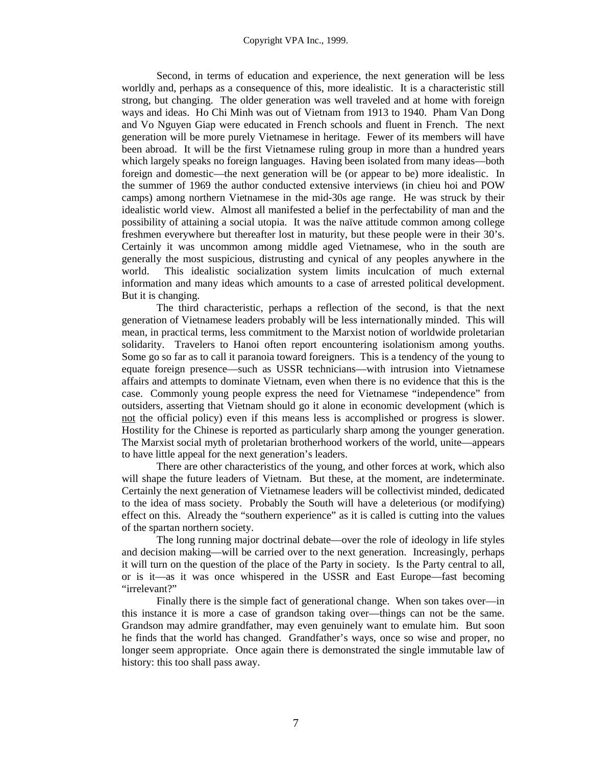Second, in terms of education and experience, the next generation will be less worldly and, perhaps as a consequence of this, more idealistic. It is a characteristic still strong, but changing. The older generation was well traveled and at home with foreign ways and ideas. Ho Chi Minh was out of Vietnam from 1913 to 1940. Pham Van Dong and Vo Nguyen Giap were educated in French schools and fluent in French. The next generation will be more purely Vietnamese in heritage. Fewer of its members will have been abroad. It will be the first Vietnamese ruling group in more than a hundred years which largely speaks no foreign languages. Having been isolated from many ideas—both foreign and domestic—the next generation will be (or appear to be) more idealistic. In the summer of 1969 the author conducted extensive interviews (in chieu hoi and POW camps) among northern Vietnamese in the mid-30s age range. He was struck by their idealistic world view. Almost all manifested a belief in the perfectability of man and the possibility of attaining a social utopia. It was the naïve attitude common among college freshmen everywhere but thereafter lost in maturity, but these people were in their 30's. Certainly it was uncommon among middle aged Vietnamese, who in the south are generally the most suspicious, distrusting and cynical of any peoples anywhere in the world. This idealistic socialization system limits inculcation of much external information and many ideas which amounts to a case of arrested political development. But it is changing.

The third characteristic, perhaps a reflection of the second, is that the next generation of Vietnamese leaders probably will be less internationally minded. This will mean, in practical terms, less commitment to the Marxist notion of worldwide proletarian solidarity. Travelers to Hanoi often report encountering isolationism among youths. Some go so far as to call it paranoia toward foreigners. This is a tendency of the young to equate foreign presence—such as USSR technicians—with intrusion into Vietnamese affairs and attempts to dominate Vietnam, even when there is no evidence that this is the case. Commonly young people express the need for Vietnamese "independence" from outsiders, asserting that Vietnam should go it alone in economic development (which is not the official policy) even if this means less is accomplished or progress is slower. Hostility for the Chinese is reported as particularly sharp among the younger generation. The Marxist social myth of proletarian brotherhood workers of the world, unite—appears to have little appeal for the next generation's leaders.

There are other characteristics of the young, and other forces at work, which also will shape the future leaders of Vietnam. But these, at the moment, are indeterminate. Certainly the next generation of Vietnamese leaders will be collectivist minded, dedicated to the idea of mass society. Probably the South will have a deleterious (or modifying) effect on this. Already the "southern experience" as it is called is cutting into the values of the spartan northern society.

The long running major doctrinal debate—over the role of ideology in life styles and decision making—will be carried over to the next generation. Increasingly, perhaps it will turn on the question of the place of the Party in society. Is the Party central to all, or is it—as it was once whispered in the USSR and East Europe—fast becoming "irrelevant?"

Finally there is the simple fact of generational change. When son takes over—in this instance it is more a case of grandson taking over—things can not be the same. Grandson may admire grandfather, may even genuinely want to emulate him. But soon he finds that the world has changed. Grandfather's ways, once so wise and proper, no longer seem appropriate. Once again there is demonstrated the single immutable law of history: this too shall pass away.